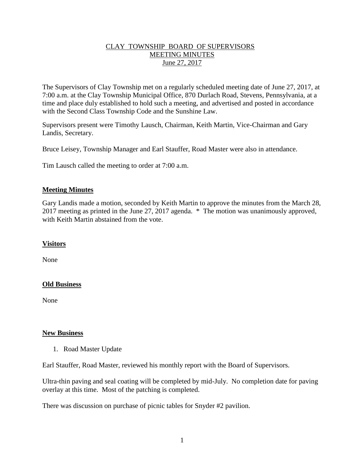## CLAY TOWNSHIP BOARD OF SUPERVISORS MEETING MINUTES June 27, 2017

The Supervisors of Clay Township met on a regularly scheduled meeting date of June 27, 2017, at 7:00 a.m. at the Clay Township Municipal Office, 870 Durlach Road, Stevens, Pennsylvania, at a time and place duly established to hold such a meeting, and advertised and posted in accordance with the Second Class Township Code and the Sunshine Law.

Supervisors present were Timothy Lausch, Chairman, Keith Martin, Vice-Chairman and Gary Landis, Secretary.

Bruce Leisey, Township Manager and Earl Stauffer, Road Master were also in attendance.

Tim Lausch called the meeting to order at 7:00 a.m.

## **Meeting Minutes**

Gary Landis made a motion, seconded by Keith Martin to approve the minutes from the March 28, 2017 meeting as printed in the June 27, 2017 agenda. \* The motion was unanimously approved, with Keith Martin abstained from the vote.

#### **Visitors**

None

# **Old Business**

None

#### **New Business**

1. Road Master Update

Earl Stauffer, Road Master, reviewed his monthly report with the Board of Supervisors.

Ultra-thin paving and seal coating will be completed by mid-July. No completion date for paving overlay at this time. Most of the patching is completed.

There was discussion on purchase of picnic tables for Snyder #2 pavilion.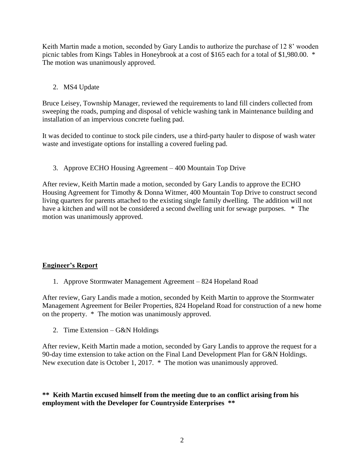Keith Martin made a motion, seconded by Gary Landis to authorize the purchase of 12 8' wooden picnic tables from Kings Tables in Honeybrook at a cost of \$165 each for a total of \$1,980.00. \* The motion was unanimously approved.

# 2. MS4 Update

Bruce Leisey, Township Manager, reviewed the requirements to land fill cinders collected from sweeping the roads, pumping and disposal of vehicle washing tank in Maintenance building and installation of an impervious concrete fueling pad.

It was decided to continue to stock pile cinders, use a third-party hauler to dispose of wash water waste and investigate options for installing a covered fueling pad.

3. Approve ECHO Housing Agreement – 400 Mountain Top Drive

After review, Keith Martin made a motion, seconded by Gary Landis to approve the ECHO Housing Agreement for Timothy & Donna Witmer, 400 Mountain Top Drive to construct second living quarters for parents attached to the existing single family dwelling. The addition will not have a kitchen and will not be considered a second dwelling unit for sewage purposes.  $*$  The motion was unanimously approved.

# **Engineer's Report**

1. Approve Stormwater Management Agreement – 824 Hopeland Road

After review, Gary Landis made a motion, seconded by Keith Martin to approve the Stormwater Management Agreement for Beiler Properties, 824 Hopeland Road for construction of a new home on the property. \* The motion was unanimously approved.

2. Time Extension – G&N Holdings

After review, Keith Martin made a motion, seconded by Gary Landis to approve the request for a 90-day time extension to take action on the Final Land Development Plan for G&N Holdings. New execution date is October 1, 2017. \* The motion was unanimously approved.

# **\*\* Keith Martin excused himself from the meeting due to an conflict arising from his employment with the Developer for Countryside Enterprises \*\***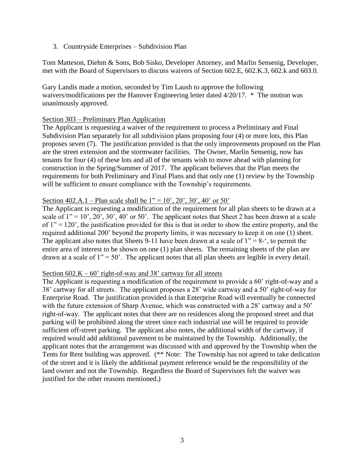3. Countryside Enterprises – Subdivision Plan

Tom Matteson, Diehm & Sons, Bob Sisko, Developer Attorney, and Marlin Sensenig, Developer, met with the Board of Supervisors to discuss waivers of Section 602.E, 602.K.3, 602.k and 603.0.

Gary Landis made a motion, seconded by Tim Laush to approve the following waivers/modifications per the Hanover Engineering letter dated 4/20/17. \* The motion was unanimously approved.

## Section 303 – Preliminary Plan Application

The Applicant is requesting a waiver of the requirement to process a Preliminary and Final Subdivision Plan separately for all subdivision plans proposing four (4) or more lots, this Plan proposes seven (7). The justification provided is that the only improvements proposed on the Plan are the street extension and the stormwater facilities. The Owner, Marlin Sensenig, now has tenants for four (4) of these lots and all of the tenants wish to move ahead with planning for construction in the Spring/Summer of 2017. The applicant believes that the Plan meets the requirements for both Preliminary and Final Plans and that only one (1) review by the Township will be sufficient to ensure compliance with the Township's requirements.

## Section 402.A.1 – Plan scale shall be  $1'' = 10'$ ,  $20'$ ,  $30'$ ,  $40'$  or  $50'$

The Applicant is requesting a modification of the requirement for all plan sheets to be drawn at a scale of  $1'' = 10'$ ,  $20'$ ,  $30'$ ,  $40'$  or  $50'$ . The applicant notes that Sheet 2 has been drawn at a scale of  $1" = 120'$ , the justification provided for this is that in order to show the entire property, and the required additional 200' beyond the property limits, it was necessary to keep it on one (1) sheet. The applicant also notes that Sheets 9-11 have been drawn at a scale of  $1'' = 8$ -', to permit the entire area of interest to be shown on one (1) plan sheets. The remaining sheets of the plan are drawn at a scale of  $1'' = 50'$ . The applicant notes that all plan sheets are legible in every detail.

#### Section  $602.K - 60'$  right-of-way and 38' cartway for all streets

The Applicant is requesting a modification of the requirement to provide a 60' right-of-way and a 38' cartway for all streets. The applicant proposes a 28' wide cartway and a 50' right-of-way for Enterprise Road. The justification provided is that Enterprise Road will eventually be connected with the future extension of Sharp Avenue, which was constructed with a 28' cartway and a 50' right-of-way. The applicant notes that there are no residences along the proposed street and that parking will be prohibited along the street since each industrial use will be required to provide sufficient off-street parking. The applicant also notes, the additional width of the cartway, if required would add additional pavement to be maintained by the Township. Additionally, the applicant notes that the arrangement was discussed with and approved by the Township when the Tents for Rent building was approved. (\*\* Note: The Township has not agreed to take dedication of the street and it is likely the additional payment reference would be the responsibility of the land owner and not the Township. Regardless the Board of Supervisors felt the waiver was justified for the other reasons mentioned.)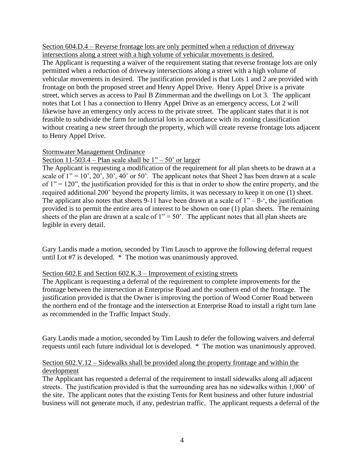Section 604.D.4 – Reverse frontage lots are only permitted when a reduction of driveway intersections along a street with a high volume of vehicular movements is desired. The Applicant is requesting a waiver of the requirement stating that reverse frontage lots are only permitted when a reduction of driveway intersections along a street with a high volume of vehicular movements in desired. The justification provided is that Lots 1 and 2 are provided with frontage on both the proposed street and Henry Appel Drive. Henry Appel Drive is a private street, which serves as access to Paul B Zimmerman and the dwellings on Lot 3. The applicant notes that Lot 1 has a connection to Henry Appel Drive as an emergency access, Lot 2 will likewise have an emergency only access to the private street. The applicant states that it is not feasible to subdivide the farm for industrial lots in accordance with its zoning classification without creating a new street through the property, which will create reverse frontage lots adjacent to Henry Appel Drive.

## Stormwater Management Ordinance

# Section 11-503.4 – Plan scale shall be  $1" - 50"$  or larger

The Applicant is requesting a modification of the requirement for all plan sheets to be drawn at a scale of  $1'' = 10'$ ,  $20'$ ,  $30'$ ,  $40'$  or  $50'$ . The applicant notes that Sheet 2 has been drawn at a scale of  $1" = 120"$ , the justification provided for this is that in order to show the entire property, and the required additional 200' beyond the property limits, it was necessary to keep it on one (1) sheet. The applicant also notes that sheets 9-11 have been drawn at a scale of  $1" - 8$ -', the justification provided is to permit the entire area of interest to be shown on one (1) plan sheets. The remaining sheets of the plan are drawn at a scale of  $1'' = 50'$ . The applicant notes that all plan sheets are legible in every detail.

Gary Landis made a motion, seconded by Tim Lausch to approve the following deferral request until Lot #7 is developed. \* The motion was unanimously approved.

#### Section 602.E and Section 602.K.3 – Improvement of existing streets

The Applicant is requesting a deferral of the requirement to complete improvements for the frontage between the intersection at Enterprise Road and the southern end of the frontage. The justification provided is that the Owner is improving the portion of Wood Corner Road between the northern end of the frontage and the intersection at Enterprise Road to install a right turn lane as recommended in the Traffic Impact Study.

Gary Landis made a motion, seconded by Tim Laush to defer the following waivers and deferral requests until each future individual lot is developed. \* The motion was unanimously approved.

## Section 602.V.12 – Sidewalks shall be provided along the property frontage and within the development

The Applicant has requested a deferral of the requirement to install sidewalks along all adjacent streets. The justification provided is that the surrounding area has no sidewalks within 1,000' of the site. The applicant notes that the existing Tents for Rent business and other future industrial business will not generate much, if any, pedestrian traffic. The applicant requests a deferral of the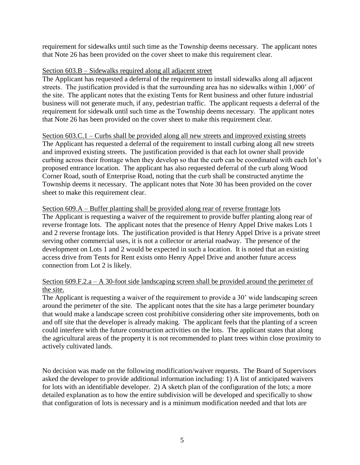requirement for sidewalks until such time as the Township deems necessary. The applicant notes that Note 26 has been provided on the cover sheet to make this requirement clear.

## Section 603.B – Sidewalks required along all adjacent street

The Applicant has requested a deferral of the requirement to install sidewalks along all adjacent streets. The justification provided is that the surrounding area has no sidewalks within 1,000' of the site. The applicant notes that the existing Tents for Rent business and other future industrial business will not generate much, if any, pedestrian traffic. The applicant requests a deferral of the requirement for sidewalk until such time as the Township deems necessary. The applicant notes that Note 26 has been provided on the cover sheet to make this requirement clear.

Section 603.C.1 – Curbs shall be provided along all new streets and improved existing streets The Applicant has requested a deferral of the requirement to install curbing along all new streets and improved existing streets. The justification provided is that each lot owner shall provide curbing across their frontage when they develop so that the curb can be coordinated with each lot's proposed entrance location. The applicant has also requested deferral of the curb along Wood Corner Road, south of Enterprise Road, noting that the curb shall be constructed anytime the Township deems it necessary. The applicant notes that Note 30 has been provided on the cover sheet to make this requirement clear.

#### Section 609.A – Buffer planting shall be provided along rear of reverse frontage lots

The Applicant is requesting a waiver of the requirement to provide buffer planting along rear of reverse frontage lots. The applicant notes that the presence of Henry Appel Drive makes Lots 1 and 2 reverse frontage lots. The justification provided is that Henry Appel Drive is a private street serving other commercial uses, it is not a collector or arterial roadway. The presence of the development on Lots 1 and 2 would be expected in such a location. It is noted that an existing access drive from Tents for Rent exists onto Henry Appel Drive and another future access connection from Lot 2 is likely.

## Section 609.F.2.a – A 30-foot side landscaping screen shall be provided around the perimeter of the site.

The Applicant is requesting a waiver of the requirement to provide a 30' wide landscaping screen around the perimeter of the site. The applicant notes that the site has a large perimeter boundary that would make a landscape screen cost prohibitive considering other site improvements, both on and off site that the developer is already making. The applicant feels that the planting of a screen could interfere with the future construction activities on the lots. The applicant states that along the agricultural areas of the property it is not recommended to plant trees within close proximity to actively cultivated lands.

No decision was made on the following modification/waiver requests. The Board of Supervisors asked the developer to provide additional information including: 1) A list of anticipated waivers for lots with an identifiable developer. 2) A sketch plan of the configuration of the lots; a more detailed explanation as to how the entire subdivision will be developed and specifically to show that configuration of lots is necessary and is a minimum modification needed and that lots are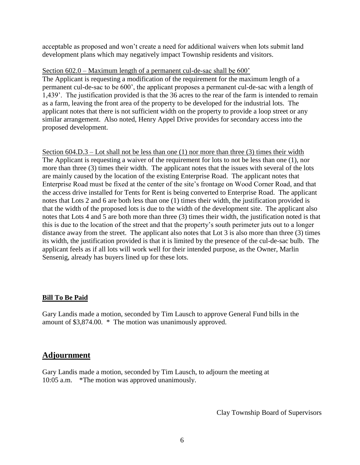acceptable as proposed and won't create a need for additional waivers when lots submit land development plans which may negatively impact Township residents and visitors.

#### Section 602.0 – Maximum length of a permanent cul-de-sac shall be 600'

The Applicant is requesting a modification of the requirement for the maximum length of a permanent cul-de-sac to be 600', the applicant proposes a permanent cul-de-sac with a length of 1,439'. The justification provided is that the 36 acres to the rear of the farm is intended to remain as a farm, leaving the front area of the property to be developed for the industrial lots. The applicant notes that there is not sufficient width on the property to provide a loop street or any similar arrangement. Also noted, Henry Appel Drive provides for secondary access into the proposed development.

Section 604.D.3 – Lot shall not be less than one (1) nor more than three (3) times their width The Applicant is requesting a waiver of the requirement for lots to not be less than one (1), nor more than three (3) times their width. The applicant notes that the issues with several of the lots are mainly caused by the location of the existing Enterprise Road. The applicant notes that Enterprise Road must be fixed at the center of the site's frontage on Wood Corner Road, and that the access drive installed for Tents for Rent is being converted to Enterprise Road. The applicant notes that Lots 2 and 6 are both less than one (1) times their width, the justification provided is that the width of the proposed lots is due to the width of the development site. The applicant also notes that Lots 4 and 5 are both more than three (3) times their width, the justification noted is that this is due to the location of the street and that the property's south perimeter juts out to a longer distance away from the street. The applicant also notes that Lot 3 is also more than three (3) times its width, the justification provided is that it is limited by the presence of the cul-de-sac bulb. The applicant feels as if all lots will work well for their intended purpose, as the Owner, Marlin Sensenig, already has buyers lined up for these lots.

# **Bill To Be Paid**

Gary Landis made a motion, seconded by Tim Lausch to approve General Fund bills in the amount of \$3,874.00. \* The motion was unanimously approved.

# **Adjournment**

Gary Landis made a motion, seconded by Tim Lausch, to adjourn the meeting at 10:05 a.m. \*The motion was approved unanimously.

Clay Township Board of Supervisors